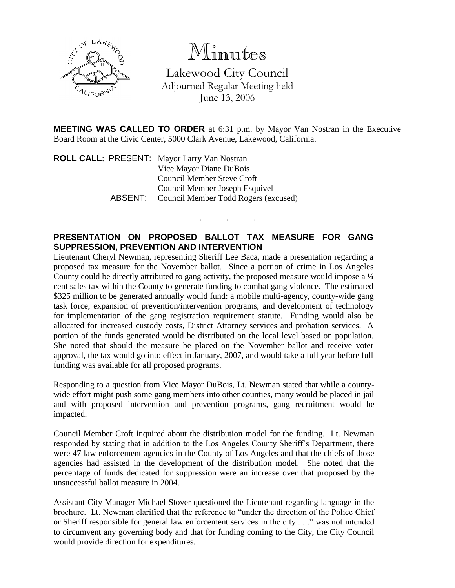

Minutes

Lakewood City Council Adjourned Regular Meeting held June 13, 2006

**MEETING WAS CALLED TO ORDER** at 6:31 p.m. by Mayor Van Nostran in the Executive Board Room at the Civic Center, 5000 Clark Avenue, Lakewood, California.

. . .

**ROLL CALL**: PRESENT: Mayor Larry Van Nostran Vice Mayor Diane DuBois Council Member Steve Croft Council Member Joseph Esquivel ABSENT: Council Member Todd Rogers (excused)

## **PRESENTATION ON PROPOSED BALLOT TAX MEASURE FOR GANG SUPPRESSION, PREVENTION AND INTERVENTION**

Lieutenant Cheryl Newman, representing Sheriff Lee Baca, made a presentation regarding a proposed tax measure for the November ballot. Since a portion of crime in Los Angeles County could be directly attributed to gang activity, the proposed measure would impose a ¼ cent sales tax within the County to generate funding to combat gang violence. The estimated \$325 million to be generated annually would fund: a mobile multi-agency, county-wide gang task force, expansion of prevention/intervention programs, and development of technology for implementation of the gang registration requirement statute. Funding would also be allocated for increased custody costs, District Attorney services and probation services. A portion of the funds generated would be distributed on the local level based on population. She noted that should the measure be placed on the November ballot and receive voter approval, the tax would go into effect in January, 2007, and would take a full year before full funding was available for all proposed programs.

Responding to a question from Vice Mayor DuBois, Lt. Newman stated that while a countywide effort might push some gang members into other counties, many would be placed in jail and with proposed intervention and prevention programs, gang recruitment would be impacted.

Council Member Croft inquired about the distribution model for the funding. Lt. Newman responded by stating that in addition to the Los Angeles County Sheriff's Department, there were 47 law enforcement agencies in the County of Los Angeles and that the chiefs of those agencies had assisted in the development of the distribution model. She noted that the percentage of funds dedicated for suppression were an increase over that proposed by the unsuccessful ballot measure in 2004.

Assistant City Manager Michael Stover questioned the Lieutenant regarding language in the brochure. Lt. Newman clarified that the reference to "under the direction of the Police Chief or Sheriff responsible for general law enforcement services in the city . . ." was not intended to circumvent any governing body and that for funding coming to the City, the City Council would provide direction for expenditures.